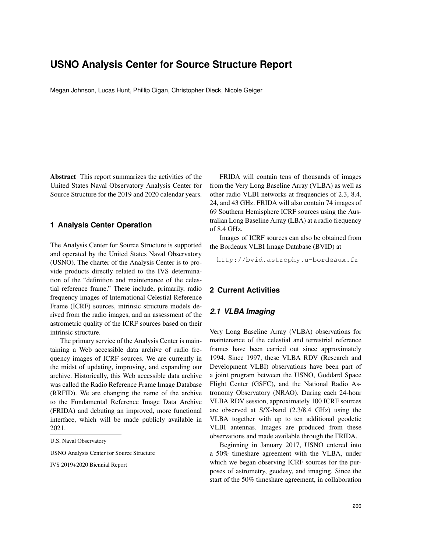# **USNO Analysis Center for Source Structure Report**

Megan Johnson, Lucas Hunt, Phillip Cigan, Christopher Dieck, Nicole Geiger

Abstract This report summarizes the activities of the United States Naval Observatory Analysis Center for Source Structure for the 2019 and 2020 calendar years.

## **1 Analysis Center Operation**

The Analysis Center for Source Structure is supported and operated by the United States Naval Observatory (USNO). The charter of the Analysis Center is to provide products directly related to the IVS determination of the "definition and maintenance of the celestial reference frame." These include, primarily, radio frequency images of International Celestial Reference Frame (ICRF) sources, intrinsic structure models derived from the radio images, and an assessment of the astrometric quality of the ICRF sources based on their intrinsic structure.

The primary service of the Analysis Center is maintaining a Web accessible data archive of radio frequency images of ICRF sources. We are currently in the midst of updating, improving, and expanding our archive. Historically, this Web accessible data archive was called the Radio Reference Frame Image Database (RRFID). We are changing the name of the archive to the Fundamental Reference Image Data Archive (FRIDA) and debuting an improved, more functional interface, which will be made publicly available in 2021.

USNO Analysis Center for Source Structure

IVS 2019+2020 Biennial Report

FRIDA will contain tens of thousands of images from the Very Long Baseline Array (VLBA) as well as other radio VLBI networks at frequencies of 2.3, 8.4, 24, and 43 GHz. FRIDA will also contain 74 images of 69 Southern Hemisphere ICRF sources using the Australian Long Baseline Array (LBA) at a radio frequency of 8.4 GHz.

Images of ICRF sources can also be obtained from the Bordeaux VLBI Image Database (BVID) at

http://bvid.astrophy.u-bordeaux.fr

## **2 Current Activities**

# *2.1 VLBA Imaging*

Very Long Baseline Array (VLBA) observations for maintenance of the celestial and terrestrial reference frames have been carried out since approximately 1994. Since 1997, these VLBA RDV (Research and Development VLBI) observations have been part of a joint program between the USNO, Goddard Space Flight Center (GSFC), and the National Radio Astronomy Observatory (NRAO). During each 24-hour VLBA RDV session, approximately 100 ICRF sources are observed at S/X-band (2.3/8.4 GHz) using the VLBA together with up to ten additional geodetic VLBI antennas. Images are produced from these observations and made available through the FRIDA.

Beginning in January 2017, USNO entered into a 50% timeshare agreement with the VLBA, under which we began observing ICRF sources for the purposes of astrometry, geodesy, and imaging. Since the start of the 50% timeshare agreement, in collaboration

U.S. Naval Observatory